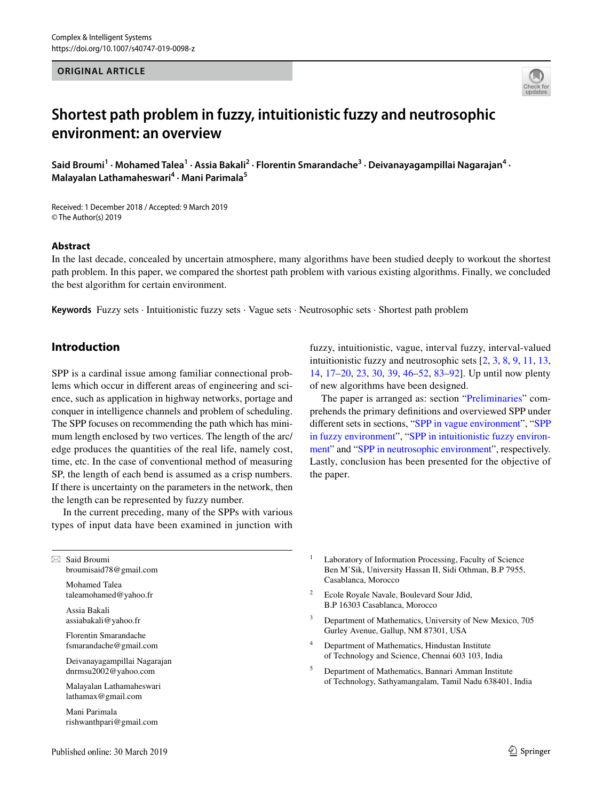#### **ORIGINAL ARTICLE**



# **Shortest path problem in fuzzy, intuitionistic fuzzy and neutrosophic environment: an overview**

Said Broumi<sup>1</sup> • Mohamed Talea<sup>1</sup> • Assia Bakali<sup>2</sup> • Florentin Smarandache<sup>3</sup> • Deivanayagampillai Nagarajan<sup>4</sup> • **Malayalan Lathamaheswari4 · Mani Parimala5**

Received: 1 December 2018 / Accepted: 9 March 2019 © The Author(s) 2019

### **Abstract**

In the last decade, concealed by uncertain atmosphere, many algorithms have been studied deeply to workout the shortest path problem. In this paper, we compared the shortest path problem with various existing algorithms. Finally, we concluded the best algorithm for certain environment.

**Keywords** Fuzzy sets · Intuitionistic fuzzy sets · Vague sets · Neutrosophic sets · Shortest path problem

# **Introduction**

SPP is a cardinal issue among familiar connectional problems which occur in diferent areas of engineering and science, such as application in highway networks, portage and conquer in intelligence channels and problem of scheduling. The SPP focuses on recommending the path which has minimum length enclosed by two vertices. The length of the arc/ edge produces the quantities of the real life, namely cost, time, etc. In the case of conventional method of measuring SP, the length of each bend is assumed as a crisp numbers. If there is uncertainty on the parameters in the network, then the length can be represented by fuzzy number.

In the current preceding, many of the SPPs with various types of input data have been examined in junction with fuzzy, intuitionistic, vague, interval fuzzy, interval-valued intuitionistic fuzzy and neutrosophic sets [[2,](#page-5-0) [3,](#page-5-1) [8,](#page-5-2) [9,](#page-5-3) [11,](#page-5-4) [13,](#page-5-5) [14](#page-5-6), [17–](#page-5-7)[20,](#page-5-8) [23](#page-5-9), [30,](#page-5-10) [39](#page-6-0), [46](#page-6-1)[–52,](#page-6-2) [83–](#page-7-0)[92](#page-7-1)]. Up until now plenty of new algorithms have been designed.

The paper is arranged as: section ["Preliminaries](#page-1-0)" comprehends the primary defnitions and overviewed SPP under diferent sets in sections, "[SPP in vague environment](#page-2-0)", "[SPP](#page-2-1) [in fuzzy environment"](#page-2-1), ["SPP in intuitionistic fuzzy environ](#page-3-0)[ment](#page-3-0)" and "[SPP in neutrosophic environment"](#page-3-1), respectively. Lastly, conclusion has been presented for the objective of the paper.

 $\boxtimes$  Said Broumi broumisaid78@gmail.com

> Mohamed Talea taleamohamed@yahoo.fr

Assia Bakali assiabakali@yahoo.fr

Florentin Smarandache fsmarandache@gmail.com

Deivanayagampillai Nagarajan dnrmsu2002@yahoo.com

Malayalan Lathamaheswari lathamax@gmail.com

Mani Parimala rishwanthpari@gmail.com

- <sup>1</sup> Laboratory of Information Processing, Faculty of Science Ben M'Sik, University Hassan II, Sidi Othman, B.P 7955, Casablanca, Morocco
- <sup>2</sup> Ecole Royale Navale, Boulevard Sour Jdid, B.P 16303 Casablanca, Morocco
- Department of Mathematics, University of New Mexico, 705 Gurley Avenue, Gallup, NM 87301, USA
- Department of Mathematics, Hindustan Institute of Technology and Science, Chennai 603 103, India
- <sup>5</sup> Department of Mathematics, Bannari Amman Institute of Technology, Sathyamangalam, Tamil Nadu 638401, India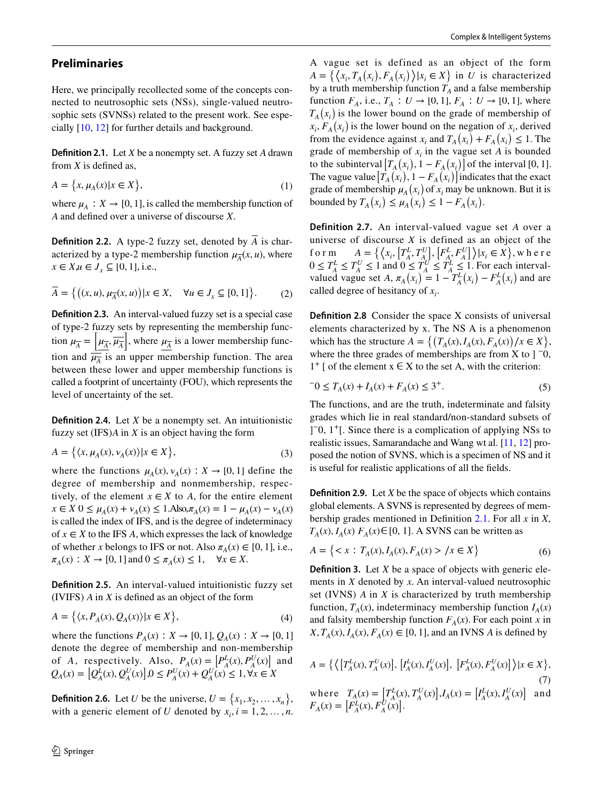## <span id="page-1-0"></span>**Preliminaries**

Here, we principally recollected some of the concepts connected to neutrosophic sets (NSs), single-valued neutrosophic sets (SVNSs) related to the present work. See especially [\[10](#page-5-11), [12](#page-5-12)] for further details and background.

<span id="page-1-1"></span>**Defnition 2.1.** Let *X* be a nonempty set. A fuzzy set *A* drawn from *X* is defned as,

$$
A = \{x, \mu_A(x) | x \in X\},\tag{1}
$$

where  $\mu_A : X \to [0, 1]$ , is called the membership function of *A* and defned over a universe of discourse *X*.

**Definition 2.2.** A type-2 fuzzy set, denoted by  $\overline{A}$  is characterized by a type-2 membership function  $\mu_{\overline{\lambda}}(x, u)$ , where  $x \in X, u \in J_x \subseteq [0, 1], \text{ i.e.,}$ 

$$
\overline{A} = \left\{ \left( (x, u), \mu_{\overline{A}}(x, u) \right) | x \in X, \quad \forall u \in J_x \subseteq [0, 1] \right\}.
$$
 (2)

**Defnition 2.3.** An interval-valued fuzzy set is a special case of type-2 fuzzy sets by representing the membership function  $\mu_{\overline{A}} = \left[ \mu_{\overline{A}}, \overline{\mu_{\overline{A}}} \right]$ , where  $\mu_{\overline{A}}$  is a lower membership function and  $\frac{1}{\mu_A}$  is an upper membership function. The area between these lower and upper membership functions is called a footprint of uncertainty (FOU), which represents the level of uncertainty of the set.

**Defnition 2.4.** Let *X* be a nonempty set. An intuitionistic fuzzy set (IFS)*A* in *X* is an object having the form

$$
A = \left\{ \langle x, \mu_A(x), \nu_A(x) \rangle | x \in X \right\},\tag{3}
$$

where the functions  $\mu_A(x), \nu_A(x) : X \to [0, 1]$  define the degree of membership and nonmembership, respectively, of the element  $x \in X$  to A, for the entire element  $x \in X$  0  $\leq \mu_A(x) + \nu_A(x) \leq 1$ . Also,  $\pi_A(x) = 1 - \mu_A(x) - \nu_A(x)$ is called the index of IFS, and is the degree of indeterminacy of  $x \in X$  to the IFS *A*, which expresses the lack of knowledge of whether *x* belongs to IFS or not. Also  $\pi_A(x) \in [0, 1]$ , i.e.,  $\pi_A(x)$  : *X* → [0, 1] and 0 ≤  $\pi_A(x)$  ≤ 1, ∀*x* ∈ *X*.

**Defnition 2.5.** An interval-valued intuitionistic fuzzy set (IVIFS) *A* in *X* is defned as an object of the form

$$
A = \left\{ \langle x, P_A(x), Q_A(x) \rangle | x \in X \right\},\tag{4}
$$

where the functions  $P_A(x)$  :  $X \to [0, 1], Q_A(x)$  :  $X \to [0, 1]$ denote the degree of membership and non-membership of *A*, respectively. Also,  $P_A(x) = [P_A^L(x), P_A^U(x)]$  and  $Q_A(x) = [Q_A^L(x), Q_A^U(x)]$ ,0 ≤  $P_A^U(x) + Q_A^U(x) \le 1$ ,  $\forall x \in X$ 

**Definition 2.6.** Let *U* be the universe,  $U = \{x_1, x_2, \dots, x_n\}$ , with a generic element of *U* denoted by  $x_i$ ,  $i = 1, 2, ..., n$ .

A vague set is defined as an object of the form  $A = \{ (x_i, T_A(x_i), F_A(x_i)) | x_i \in X \}$  in *U* is characterized by a truth membership function  $T_A$  and a false membership function *F<sub>A</sub>*, i.e., *T<sub>A</sub>* ∶ *U* → [0, 1], *F<sub>A</sub>* ∶ *U* → [0, 1], where  $T_A(x_i)$  is the lower bound on the grade of membership of  $\overline{x_i}$ ,  $\overline{F_A}(x_i)$  is the lower bound on the negation of  $x_i$ , derived from the evidence against  $x_i$  and  $T_A(x_i) + F_A(x_i) \leq 1$ . The grade of membership of  $x_i$  in the vague set *A* is bounded to the subinterval  $[T_A(x_i), 1 - F_A(x_i)]$  of the interval [0, 1]. The vague value  $\left[T_{A}^{T}(x_{i}), 1 - F_{A}(x_{i})\right]$  indicates that the exact grade of membership  $\mu_A(x_i)$  of  $x_i$  may be unknown. But it is bounded by  $T_A(x_i) \leq \mu_A(x_i) \leq 1 - F_A(x_i)$ .

**Definition 2.7.** An interval-valued vague set *A* over a universe of discourse *X* is defined as an object of the form  $A = \left\{ \left\langle x_i, \left[ T_A^L, T_A^U \right], \left[ F_A^L, F_A^U \right] \right\rangle | x_i \in X \right\}$ , where  $0 \leq T_A^L \leq T_A^U \leq 1$  and  $0 \leq T_A^U \leq T_A^L \leq 1$ . For each intervalvalued vague set *A*,  $\pi_A(x_i) = 1 - T_A^L(x_i) - F_A^L(x_i)$  and are called degree of hesitancy of  $x_i$ .

**Definition 2.8** Consider the space X consists of universal elements characterized by x. The NS A is a phenomenon which has the structure  $A = \{ (T_A(x), I_A(x), F_A(x)) / x \in X \}$ , where the three grades of memberships are from X to  $\vert$  <sup>-0</sup>,  $1^+$  [ of the element  $x \in X$  to the set A, with the criterion:

$$
-0 \le T_A(x) + I_A(x) + F_A(x) \le 3^+.
$$
 (5)

The functions, and are the truth, indeterminate and falsity grades which lie in real standard/non-standard subsets of ] −0, 1+[. Since there is a complication of applying NSs to realistic issues, Samarandache and Wang wt al. [[11,](#page-5-4) [12](#page-5-12)] proposed the notion of SVNS, which is a specimen of NS and it is useful for realistic applications of all the felds.

**Defnition 2.9.** Let *X* be the space of objects which contains global elements. A SVNS is represented by degrees of membership grades mentioned in Defnition [2.1.](#page-1-1) For all *x* in *X*,  $T_A(x)$ ,  $I_A(x)$   $F_A(x) \in [0, 1]$ . A SVNS can be written as

$$
A = \{ \langle x : T_A(x), I_A(x), F_A(x) \rangle \mid x \in X \}
$$
 (6)

**Definition 3.** Let *X* be a space of objects with generic elements in *X* denoted by *x*. An interval-valued neutrosophic set (IVNS) *A* in *X* is characterized by truth membership function,  $T_A(x)$ , indeterminacy membership function  $I_A(x)$ and falsity membership function  $F_A(x)$ . For each point *x* in  $X, T_A(x), I_A(x), F_A(x) \in [0, 1]$ , and an IVNS *A* is defined by

$$
A = \{ \langle [T_A^L(x), T_A^U(x)], [I_A^L(x), I_A^U(x)], [F_A^L(x), F_A^U(x)] \rangle | x \in X \},
$$
\n(7)\nwhere  $T_A(x) = [T_A^L(x), T_A^U(x)], I_A(x) = [I_A^L(x), I_A^U(x)]$  and  $F_A(x) = [F_A^L(x), F_A^U(x)].$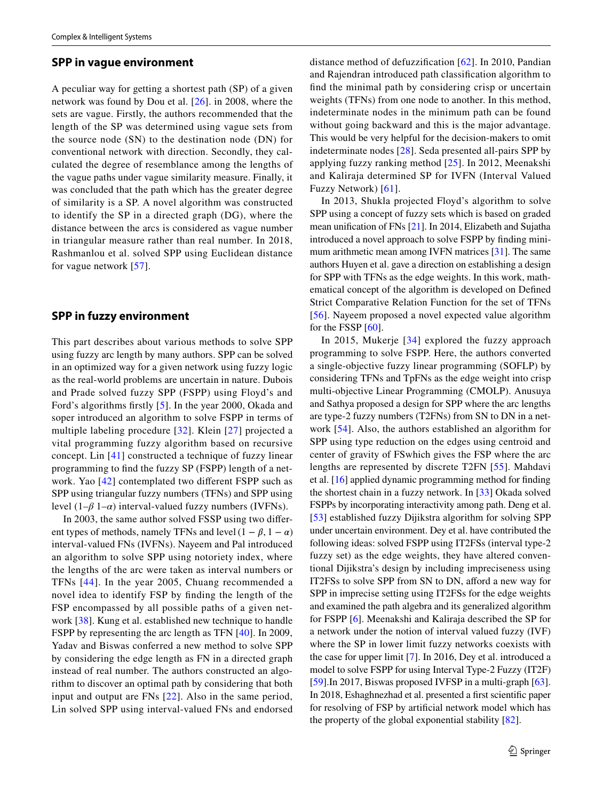#### <span id="page-2-0"></span>**SPP in vague environment**

A peculiar way for getting a shortest path (SP) of a given network was found by Dou et al. [\[26\]](#page-5-13). in 2008, where the sets are vague. Firstly, the authors recommended that the length of the SP was determined using vague sets from the source node (SN) to the destination node (DN) for conventional network with direction. Secondly, they calculated the degree of resemblance among the lengths of the vague paths under vague similarity measure. Finally, it was concluded that the path which has the greater degree of similarity is a SP. A novel algorithm was constructed to identify the SP in a directed graph (DG), where the distance between the arcs is considered as vague number in triangular measure rather than real number. In 2018, Rashmanlou et al. solved SPP using Euclidean distance for vague network [\[57\]](#page-6-3).

## <span id="page-2-1"></span>**SPP in fuzzy environment**

This part describes about various methods to solve SPP using fuzzy arc length by many authors. SPP can be solved in an optimized way for a given network using fuzzy logic as the real-world problems are uncertain in nature. Dubois and Prade solved fuzzy SPP (FSPP) using Floyd's and Ford's algorithms frstly [[5](#page-5-14)]. In the year 2000, Okada and soper introduced an algorithm to solve FSPP in terms of multiple labeling procedure [\[32\]](#page-5-15). Klein [[27\]](#page-5-16) projected a vital programming fuzzy algorithm based on recursive concept. Lin [[41](#page-6-4)] constructed a technique of fuzzy linear programming to fnd the fuzzy SP (FSPP) length of a network. Yao [\[42\]](#page-6-5) contemplated two diferent FSPP such as SPP using triangular fuzzy numbers (TFNs) and SPP using level  $(1-\beta 1-\alpha)$  interval-valued fuzzy numbers (IVFNs).

In 2003, the same author solved FSSP using two diferent types of methods, namely TFNs and level  $(1 - \beta, 1 - \alpha)$ interval-valued FNs (IVFNs). Nayeem and Pal introduced an algorithm to solve SPP using notoriety index, where the lengths of the arc were taken as interval numbers or TFNs [[44](#page-6-6)]. In the year 2005, Chuang recommended a novel idea to identify FSP by fnding the length of the FSP encompassed by all possible paths of a given network [\[38\]](#page-6-7). Kung et al. established new technique to handle FSPP by representing the arc length as TFN [\[40\]](#page-6-8). In 2009, Yadav and Biswas conferred a new method to solve SPP by considering the edge length as FN in a directed graph instead of real number. The authors constructed an algorithm to discover an optimal path by considering that both input and output are FNs [\[22\]](#page-5-17). Also in the same period, Lin solved SPP using interval-valued FNs and endorsed distance method of defuzzifcation [\[62\]](#page-6-9). In 2010, Pandian and Rajendran introduced path classifcation algorithm to fnd the minimal path by considering crisp or uncertain weights (TFNs) from one node to another. In this method, indeterminate nodes in the minimum path can be found without going backward and this is the major advantage. This would be very helpful for the decision-makers to omit indeterminate nodes [\[28\]](#page-5-18). Seda presented all-pairs SPP by applying fuzzy ranking method [\[25\]](#page-5-19). In 2012, Meenakshi and Kaliraja determined SP for IVFN (Interval Valued Fuzzy Network) [\[61\]](#page-6-10).

In 2013, Shukla projected Floyd's algorithm to solve SPP using a concept of fuzzy sets which is based on graded mean unifcation of FNs [\[21](#page-5-20)]. In 2014, Elizabeth and Sujatha introduced a novel approach to solve FSPP by fnding minimum arithmetic mean among IVFN matrices [\[31](#page-5-21)]. The same authors Huyen et al. gave a direction on establishing a design for SPP with TFNs as the edge weights. In this work, mathematical concept of the algorithm is developed on Defned Strict Comparative Relation Function for the set of TFNs [[56\]](#page-6-11). Nayeem proposed a novel expected value algorithm for the FSSP [\[60](#page-6-12)].

In 2015, Mukerje [[34](#page-6-13)] explored the fuzzy approach programming to solve FSPP. Here, the authors converted a single-objective fuzzy linear programming (SOFLP) by considering TFNs and TpFNs as the edge weight into crisp multi-objective Linear Programming (CMOLP). Anusuya and Sathya proposed a design for SPP where the arc lengths are type-2 fuzzy numbers (T2FNs) from SN to DN in a network [\[54\]](#page-6-14). Also, the authors established an algorithm for SPP using type reduction on the edges using centroid and center of gravity of FSwhich gives the FSP where the arc lengths are represented by discrete T2FN [[55](#page-6-15)]. Mahdavi et al. [[16\]](#page-5-22) applied dynamic programming method for fnding the shortest chain in a fuzzy network. In [[33\]](#page-6-16) Okada solved FSPPs by incorporating interactivity among path. Deng et al. [[53\]](#page-6-17) established fuzzy Dijikstra algorithm for solving SPP under uncertain environment. Dey et al. have contributed the following ideas: solved FSPP using IT2FSs (interval type-2 fuzzy set) as the edge weights, they have altered conventional Dijikstra's design by including impreciseness using IT2FSs to solve SPP from SN to DN, afford a new way for SPP in imprecise setting using IT2FSs for the edge weights and examined the path algebra and its generalized algorithm for FSPP [[6\]](#page-5-23). Meenakshi and Kaliraja described the SP for a network under the notion of interval valued fuzzy (IVF) where the SP in lower limit fuzzy networks coexists with the case for upper limit [[7\]](#page-5-24). In 2016, Dey et al. introduced a model to solve FSPP for using Interval Type-2 Fuzzy (IT2F) [\[59](#page-6-18)].In 2017, Biswas proposed IVFSP in a multi-graph [\[63](#page-6-19)]. In 2018, Eshaghnezhad et al. presented a frst scientifc paper for resolving of FSP by artifcial network model which has the property of the global exponential stability [\[82](#page-7-2)].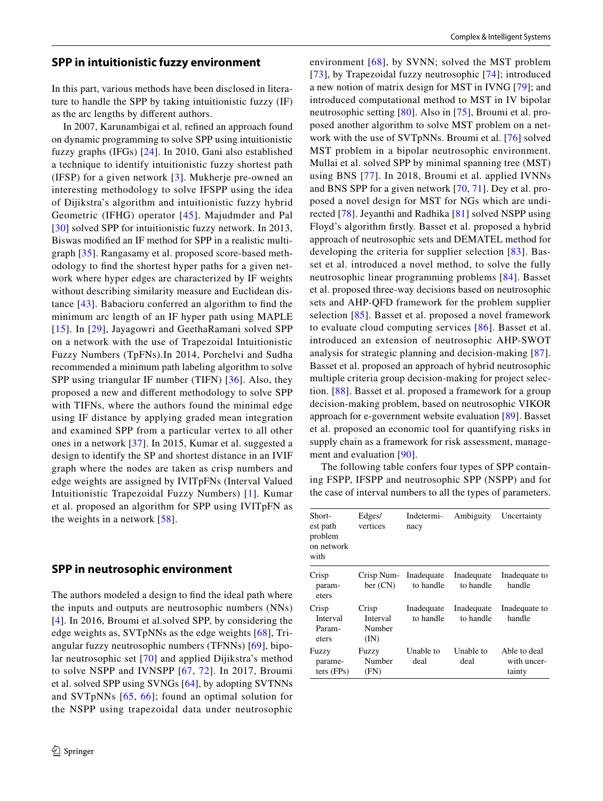#### <span id="page-3-0"></span>**SPP in intuitionistic fuzzy environment**

In this part, various methods have been disclosed in literature to handle the SPP by taking intuitionistic fuzzy (IF) as the arc lengths by diferent authors.

In 2007, Karunambigai et al. refned an approach found on dynamic programming to solve SPP using intuitionistic fuzzy graphs (IFGs) [\[24\]](#page-5-25). In 2010, Gani also established a technique to identify intuitionistic fuzzy shortest path (IFSP) for a given network [[3\]](#page-5-1). Mukherje pre-owned an interesting methodology to solve IFSPP using the idea of Dijikstra's algorithm and intuitionistic fuzzy hybrid Geometric (IFHG) operator [[45\]](#page-6-20). Majudmder and Pal [[30\]](#page-5-10) solved SPP for intuitionistic fuzzy network. In 2013, Biswas modifed an IF method for SPP in a realistic multigraph [[35](#page-6-21)]. Rangasamy et al. proposed score-based methodology to fnd the shortest hyper paths for a given network where hyper edges are characterized by IF weights without describing similarity measure and Euclidean distance [[43](#page-6-22)]. Babacioru conferred an algorithm to fnd the minimum arc length of an IF hyper path using MAPLE [[15](#page-5-26)]. In [\[29](#page-5-27)], Jayagowri and GeethaRamani solved SPP on a network with the use of Trapezoidal Intuitionistic Fuzzy Numbers (TpFNs).In 2014, Porchelvi and Sudha recommended a minimum path labeling algorithm to solve SPP using triangular IF number (TIFN) [[36](#page-6-23)]. Also, they proposed a new and diferent methodology to solve SPP with TIFNs, where the authors found the minimal edge using IF distance by applying graded mean integration and examined SPP from a particular vertex to all other ones in a network [\[37\]](#page-6-24). In 2015, Kumar et al. suggested a design to identify the SP and shortest distance in an IVIF graph where the nodes are taken as crisp numbers and edge weights are assigned by IVITpFNs (Interval Valued Intuitionistic Trapezoidal Fuzzy Numbers) [[1](#page-5-28)]. Kumar et al. proposed an algorithm for SPP using IVITpFN as the weights in a network [[58](#page-6-25)].

# <span id="page-3-1"></span>**SPP in neutrosophic environment**

The authors modeled a design to fnd the ideal path where the inputs and outputs are neutrosophic numbers (NNs) [[4\]](#page-5-29). In 2016, Broumi et al.solved SPP, by considering the edge weights as, SVTpNNs as the edge weights [[68](#page-6-26)], Triangular fuzzy neutrosophic numbers (TFNNs) [\[69\]](#page-6-27), bipolar neutrosophic set [\[70](#page-6-28)] and applied Dijikstra's method to solve NSPP and IVNSPP [[67](#page-6-29), [72](#page-6-30)]. In 2017, Broumi et al. solved SPP using SVNGs [[64\]](#page-6-31), by adopting SVTNNs and SVTpNNs [[65,](#page-6-32) [66\]](#page-6-33); found an optimal solution for the NSPP using trapezoidal data under neutrosophic environment [[68\]](#page-6-26), by SVNN; solved the MST problem [[73](#page-6-34)], by Trapezoidal fuzzy neutrosophic [\[74\]](#page-6-35); introduced a new notion of matrix design for MST in IVNG [\[79\]](#page-7-3); and introduced computational method to MST in IV bipolar neutrosophic setting [\[80\]](#page-7-4). Also in [\[75\]](#page-7-5), Broumi et al. proposed another algorithm to solve MST problem on a network with the use of SVTpNNs. Broumi et al. [\[76\]](#page-7-6) solved MST problem in a bipolar neutrosophic environment. Mullai et al. solved SPP by minimal spanning tree (MST) using BNS [[77](#page-7-7)]. In 2018, Broumi et al. applied IVNNs and BNS SPP for a given network [\[70](#page-6-28), [71\]](#page-6-36). Dey et al. proposed a novel design for MST for NGs which are undirected [\[78\]](#page-7-8). Jeyanthi and Radhika [[81](#page-7-9)] solved NSPP using Floyd's algorithm frstly. Basset et al. proposed a hybrid approach of neutrosophic sets and DEMATEL method for developing the criteria for supplier selection [[83](#page-7-0)]. Basset et al. introduced a novel method, to solve the fully neutrosophic linear programming problems [[84\]](#page-7-10). Basset et al. proposed three-way decisions based on neutrosophic sets and AHP-QFD framework for the problem supplier selection [\[85\]](#page-7-11). Basset et al. proposed a novel framework to evaluate cloud computing services [\[86\]](#page-7-12). Basset et al. introduced an extension of neutrosophic AHP-SWOT analysis for strategic planning and decision-making [[87](#page-7-13)]. Basset et al. proposed an approach of hybrid neutrosophic multiple criteria group decision-making for project selection. [\[88\]](#page-7-14). Basset et al. proposed a framework for a group decision-making problem, based on neutrosophic VIKOR approach for e-government website evaluation [\[89](#page-7-15)]. Basset et al. proposed an economic tool for quantifying risks in supply chain as a framework for risk assessment, management and evaluation [\[90\]](#page-7-16).

The following table confers four types of SPP containing FSPP, IFSPP and neutrosophic SPP (NSPP) and for the case of interval numbers to all the types of parameters.

| Short-<br>est path<br>problem<br>on network<br>with | Edges/<br>vertices                  | Indetermi-<br>nacy      | Ambiguity               | Uncertainty                           |
|-----------------------------------------------------|-------------------------------------|-------------------------|-------------------------|---------------------------------------|
| Crisp<br>param-<br>eters                            | Crisp Num-<br>ber (CN)              | Inadequate<br>to handle | Inadequate<br>to handle | Inadequate to<br>handle               |
| Crisp<br>Interval<br>Param-<br>eters                | Crisp<br>Interval<br>Number<br>(IN) | Inadequate<br>to handle | Inadequate<br>to handle | Inadequate to<br>handle               |
| Fuzzy<br>parame-<br>ters (FPs)                      | Fuzzy<br>Number<br>(FN)             | Unable to<br>deal       | Unable to<br>deal       | Able to deal<br>with uncer-<br>tainty |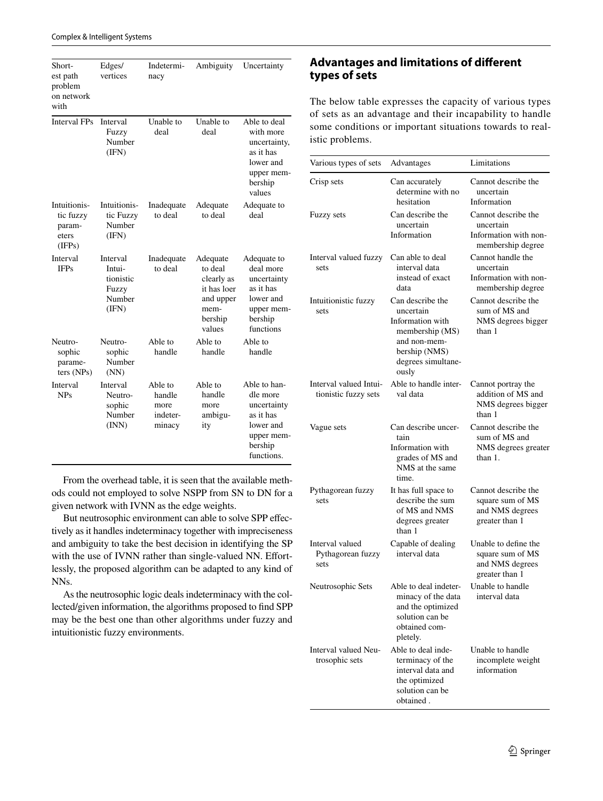| Short-<br>est path<br>problem<br>on network<br>with    | Edges/<br>vertices                                          | Indetermi-<br>nacy                              | Ambiguity                                                                                  | Uncertainty                                                                                              |
|--------------------------------------------------------|-------------------------------------------------------------|-------------------------------------------------|--------------------------------------------------------------------------------------------|----------------------------------------------------------------------------------------------------------|
| Interval FPs                                           | Interval<br>Fuzzy<br>Number<br>(IFN)                        | Unable to<br>deal                               | Unable to<br>deal                                                                          | Able to deal<br>with more<br>uncertainty,<br>as it has<br>lower and<br>upper mem-<br>bership<br>values   |
| Intuitionis-<br>tic fuzzy<br>param-<br>eters<br>(IFPs) | Intuitionis-<br>tic Fuzzy<br>Number<br>(IFN)                | Inadequate<br>to deal                           | Adequate<br>to deal                                                                        | Adequate to<br>deal                                                                                      |
| Interval<br><b>IFPs</b>                                | Interval<br>Intui-<br>tionistic<br>Fuzzy<br>Number<br>(IFN) | Inadequate<br>to deal                           | Adequate<br>to deal<br>clearly as<br>it has loer<br>and upper<br>mem-<br>bership<br>values | Adequate to<br>deal more<br>uncertainty<br>as it has<br>lower and<br>upper mem-<br>bership<br>functions  |
| Neutro-<br>sophic<br>parame-<br>ters (NPs)             | Neutro-<br>sophic<br>Number<br>(NN)                         | Able to<br>handle                               | Able to<br>handle                                                                          | Able to<br>handle                                                                                        |
| Interval<br><b>NPs</b>                                 | Interval<br>Neutro-<br>sophic<br>Number<br>(INN)            | Able to<br>handle<br>more<br>indeter-<br>minacy | Able to<br>handle<br>more<br>ambigu-<br>ity                                                | Able to han-<br>dle more<br>uncertainty<br>as it has<br>lower and<br>upper mem-<br>bership<br>functions. |

From the overhead table, it is seen that the available methods could not employed to solve NSPP from SN to DN for a given network with IVNN as the edge weights.

But neutrosophic environment can able to solve SPP efectively as it handles indeterminacy together with impreciseness and ambiguity to take the best decision in identifying the SP with the use of IVNN rather than single-valued NN. Effortlessly, the proposed algorithm can be adapted to any kind of NNs.

As the neutrosophic logic deals indeterminacy with the collected/given information, the algorithms proposed to fnd SPP may be the best one than other algorithms under fuzzy and intuitionistic fuzzy environments.

# **Advantages and limitations of diferent types of sets**

The below table expresses the capacity of various types of sets as an advantage and their incapability to handle some conditions or important situations towards to realistic problems.

| Various types of sets                          | Advantages                                                                                                                           | Limitations                                                                    |
|------------------------------------------------|--------------------------------------------------------------------------------------------------------------------------------------|--------------------------------------------------------------------------------|
| Crisp sets                                     | Can accurately<br>determine with no<br>hesitation                                                                                    | Cannot describe the<br>uncertain<br>Information                                |
| Fuzzy sets                                     | Can describe the<br>uncertain<br>Information                                                                                         | Cannot describe the<br>uncertain<br>Information with non-<br>membership degree |
| Interval valued fuzzy<br>sets                  | Can able to deal<br>interval data<br>instead of exact<br>data                                                                        | Cannot handle the<br>uncertain<br>Information with non-<br>membership degree   |
| Intuitionistic fuzzy<br>sets                   | Can describe the<br>uncertain<br>Information with<br>membership (MS)<br>and non-mem-<br>bership (NMS)<br>degrees simultane-<br>ously | Cannot describe the<br>sum of MS and<br>NMS degrees bigger<br>than 1           |
| Interval valued Intui-<br>tionistic fuzzy sets | Able to handle inter-<br>val data                                                                                                    | Cannot portray the<br>addition of MS and<br>NMS degrees bigger<br>than 1       |
| Vague sets                                     | Can describe uncer-<br>tain<br>Information with<br>grades of MS and<br>NMS at the same<br>time.                                      | Cannot describe the<br>sum of MS and<br>NMS degrees greater<br>than 1.         |
| Pythagorean fuzzy<br>sets                      | It has full space to<br>describe the sum<br>of MS and NMS<br>degrees greater<br>than 1                                               | Cannot describe the<br>square sum of MS<br>and NMS degrees<br>greater than 1   |
| Interval valued<br>Pythagorean fuzzy<br>sets   | Capable of dealing<br>interval data                                                                                                  | Unable to define the<br>square sum of MS<br>and NMS degrees<br>greater than 1  |
| Neutrosophic Sets                              | Able to deal indeter-<br>minacy of the data<br>and the optimized<br>solution can be<br>obtained com-<br>pletely.                     | Unable to handle<br>interval data                                              |
| Interval valued Neu-<br>trosophic sets         | Able to deal inde-<br>terminacy of the<br>interval data and<br>the optimized<br>solution can be<br>obtained.                         | Unable to handle<br>incomplete weight<br>information                           |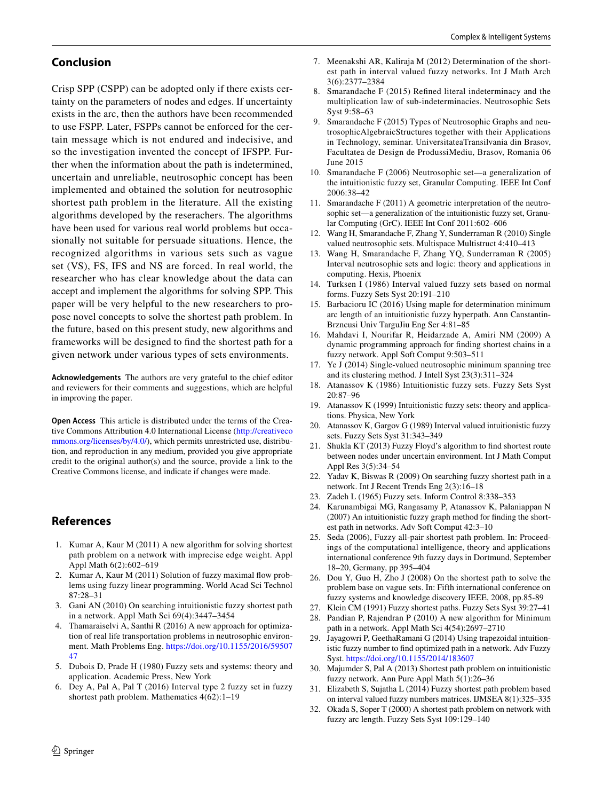# **Conclusion**

Crisp SPP (CSPP) can be adopted only if there exists certainty on the parameters of nodes and edges. If uncertainty exists in the arc, then the authors have been recommended to use FSPP. Later, FSPPs cannot be enforced for the certain message which is not endured and indecisive, and so the investigation invented the concept of IFSPP. Further when the information about the path is indetermined, uncertain and unreliable, neutrosophic concept has been implemented and obtained the solution for neutrosophic shortest path problem in the literature. All the existing algorithms developed by the reserachers. The algorithms have been used for various real world problems but occasionally not suitable for persuade situations. Hence, the recognized algorithms in various sets such as vague set (VS), FS, IFS and NS are forced. In real world, the researcher who has clear knowledge about the data can accept and implement the algorithms for solving SPP. This paper will be very helpful to the new researchers to propose novel concepts to solve the shortest path problem. In the future, based on this present study, new algorithms and frameworks will be designed to fnd the shortest path for a given network under various types of sets environments.

**Acknowledgements** The authors are very grateful to the chief editor and reviewers for their comments and suggestions, which are helpful in improving the paper.

**Open Access** This article is distributed under the terms of the Creative Commons Attribution 4.0 International License [\(http://creativeco](http://creativecommons.org/licenses/by/4.0/) [mmons.org/licenses/by/4.0/](http://creativecommons.org/licenses/by/4.0/)), which permits unrestricted use, distribution, and reproduction in any medium, provided you give appropriate credit to the original author(s) and the source, provide a link to the Creative Commons license, and indicate if changes were made.

# **References**

- <span id="page-5-28"></span>1. Kumar A, Kaur M (2011) A new algorithm for solving shortest path problem on a network with imprecise edge weight. Appl Appl Math 6(2):602–619
- <span id="page-5-0"></span>2. Kumar A, Kaur M (2011) Solution of fuzzy maximal fow problems using fuzzy linear programming. World Acad Sci Technol 87:28–31
- <span id="page-5-1"></span>3. Gani AN (2010) On searching intuitionistic fuzzy shortest path in a network. Appl Math Sci 69(4):3447–3454
- <span id="page-5-29"></span>4. Thamaraiselvi A, Santhi R (2016) A new approach for optimization of real life transportation problems in neutrosophic environment. Math Problems Eng. [https://doi.org/10.1155/2016/59507](https://doi.org/10.1155/2016/5950747) [47](https://doi.org/10.1155/2016/5950747)
- <span id="page-5-14"></span>5. Dubois D, Prade H (1980) Fuzzy sets and systems: theory and application. Academic Press, New York
- <span id="page-5-23"></span>6. Dey A, Pal A, Pal T (2016) Interval type 2 fuzzy set in fuzzy shortest path problem. Mathematics 4(62):1–19
- <span id="page-5-24"></span>7. Meenakshi AR, Kaliraja M (2012) Determination of the shortest path in interval valued fuzzy networks. Int J Math Arch 3(6):2377–2384
- <span id="page-5-2"></span>8. Smarandache F (2015) Refned literal indeterminacy and the multiplication law of sub-indeterminacies. Neutrosophic Sets Syst 9:58–63
- <span id="page-5-3"></span>9. Smarandache F (2015) Types of Neutrosophic Graphs and neutrosophicAlgebraicStructures together with their Applications in Technology, seminar. UniversitateaTransilvania din Brasov, Facultatea de Design de ProdussiMediu, Brasov, Romania 06 June 2015
- <span id="page-5-11"></span>10. Smarandache F (2006) Neutrosophic set—a generalization of the intuitionistic fuzzy set, Granular Computing. IEEE Int Conf 2006:38–42
- <span id="page-5-4"></span>11. Smarandache F (2011) A geometric interpretation of the neutrosophic set—a generalization of the intuitionistic fuzzy set, Granular Computing (GrC). IEEE Int Conf 2011:602–606
- <span id="page-5-12"></span>12. Wang H, Smarandache F, Zhang Y, Sunderraman R (2010) Single valued neutrosophic sets. Multispace Multistruct 4:410–413
- <span id="page-5-5"></span>13. Wang H, Smarandache F, Zhang YQ, Sunderraman R (2005) Interval neutrosophic sets and logic: theory and applications in computing. Hexis, Phoenix
- <span id="page-5-6"></span>14. Turksen I (1986) Interval valued fuzzy sets based on normal forms. Fuzzy Sets Syst 20:191–210
- <span id="page-5-26"></span>15. Barbacioru IC (2016) Using maple for determination minimum arc length of an intuitionistic fuzzy hyperpath. Ann Canstantin-Brzncusi Univ TarguJiu Eng Ser 4:81–85
- <span id="page-5-22"></span>16. Mahdavi I, Nourifar R, Heidarzade A, Amiri NM (2009) A dynamic programming approach for fnding shortest chains in a fuzzy network. Appl Soft Comput 9:503–511
- <span id="page-5-7"></span>17. Ye J (2014) Single-valued neutrosophic minimum spanning tree and its clustering method. J Intell Syst 23(3):311–324
- 18. Atanassov K (1986) Intuitionistic fuzzy sets. Fuzzy Sets Syst 20:87–96
- 19. Atanassov K (1999) Intuitionistic fuzzy sets: theory and applications. Physica, New York
- <span id="page-5-8"></span>20. Atanassov K, Gargov G (1989) Interval valued intuitionistic fuzzy sets. Fuzzy Sets Syst 31:343–349
- <span id="page-5-20"></span>21. Shukla KT (2013) Fuzzy Floyd's algorithm to fnd shortest route between nodes under uncertain environment. Int J Math Comput Appl Res 3(5):34–54
- <span id="page-5-17"></span>22. Yadav K, Biswas R (2009) On searching fuzzy shortest path in a network. Int J Recent Trends Eng 2(3):16–18
- <span id="page-5-9"></span>23. Zadeh L (1965) Fuzzy sets. Inform Control 8:338–353
- <span id="page-5-25"></span>24. Karunambigai MG, Rangasamy P, Atanassov K, Palaniappan N (2007) An intuitionistic fuzzy graph method for fnding the shortest path in networks. Adv Soft Comput 42:3–10
- <span id="page-5-19"></span>25. Seda (2006), Fuzzy all-pair shortest path problem. In: Proceedings of the computational intelligence, theory and applications international conference 9th fuzzy days in Dortmund, September 18–20, Germany, pp 395–404
- <span id="page-5-13"></span>26. Dou Y, Guo H, Zho J (2008) On the shortest path to solve the problem base on vague sets. In: Fifth international conference on fuzzy systems and knowledge discovery IEEE, 2008, pp.85-89
- <span id="page-5-16"></span>27. Klein CM (1991) Fuzzy shortest paths. Fuzzy Sets Syst 39:27–41
- <span id="page-5-18"></span>Pandian P, Rajendran P (2010) A new algorithm for Minimum path in a network. Appl Math Sci 4(54):2697–2710
- <span id="page-5-27"></span>29. Jayagowri P, GeethaRamani G (2014) Using trapezoidal intuitionistic fuzzy number to fnd optimized path in a network. Adv Fuzzy Syst.<https://doi.org/10.1155/2014/183607>
- <span id="page-5-10"></span>30. Majumder S, Pal A (2013) Shortest path problem on intuitionistic fuzzy network. Ann Pure Appl Math 5(1):26–36
- <span id="page-5-21"></span>31. Elizabeth S, Sujatha L (2014) Fuzzy shortest path problem based on interval valued fuzzy numbers matrices. IJMSEA 8(1):325–335
- <span id="page-5-15"></span>32. Okada S, Soper T (2000) A shortest path problem on network with fuzzy arc length. Fuzzy Sets Syst 109:129–140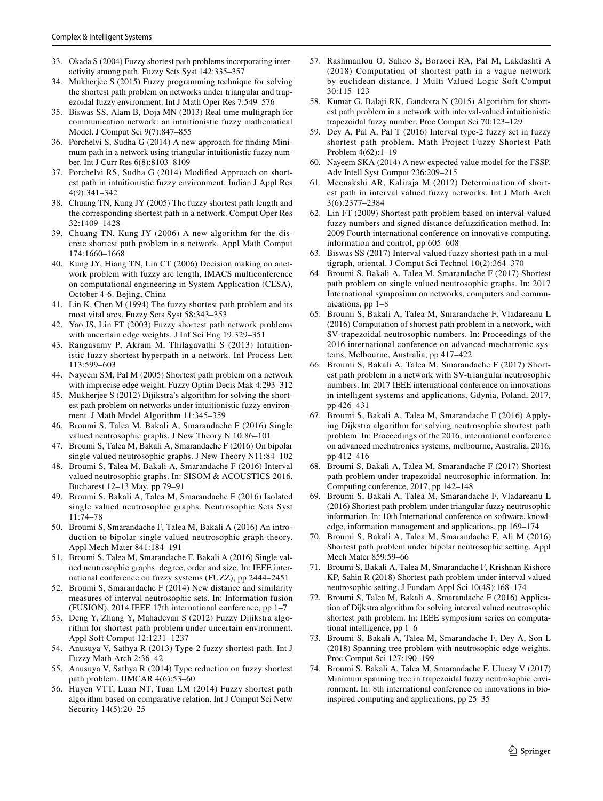- <span id="page-6-16"></span>33. Okada S (2004) Fuzzy shortest path problems incorporating interactivity among path. Fuzzy Sets Syst 142:335–357
- <span id="page-6-13"></span>34. Mukherjee S (2015) Fuzzy programming technique for solving the shortest path problem on networks under triangular and trapezoidal fuzzy environment. Int J Math Oper Res 7:549–576
- <span id="page-6-21"></span>35. Biswas SS, Alam B, Doja MN (2013) Real time multigraph for communication network: an intuitionistic fuzzy mathematical Model. J Comput Sci 9(7):847–855
- <span id="page-6-23"></span>36. Porchelvi S, Sudha G (2014) A new approach for fnding Minimum path in a network using triangular intuitionistic fuzzy number. Int J Curr Res 6(8):8103–8109
- <span id="page-6-24"></span>37. Porchelvi RS, Sudha G (2014) Modifed Approach on shortest path in intuitionistic fuzzy environment. Indian J Appl Res 4(9):341–342
- <span id="page-6-7"></span>38. Chuang TN, Kung JY (2005) The fuzzy shortest path length and the corresponding shortest path in a network. Comput Oper Res 32:1409–1428
- <span id="page-6-0"></span>39. Chuang TN, Kung JY (2006) A new algorithm for the discrete shortest path problem in a network. Appl Math Comput 174:1660–1668
- <span id="page-6-8"></span>40. Kung JY, Hiang TN, Lin CT (2006) Decision making on anetwork problem with fuzzy arc length, IMACS multiconference on computational engineering in System Application (CESA), October 4-6. Bejing, China
- <span id="page-6-4"></span>41. Lin K, Chen M (1994) The fuzzy shortest path problem and its most vital arcs. Fuzzy Sets Syst 58:343–353
- <span id="page-6-5"></span>42. Yao JS, Lin FT (2003) Fuzzy shortest path network problems with uncertain edge weights. J Inf Sci Eng 19:329–351
- <span id="page-6-22"></span>43. Rangasamy P, Akram M, Thilagavathi S (2013) Intuitionistic fuzzy shortest hyperpath in a network. Inf Process Lett 113:599–603
- <span id="page-6-6"></span>44. Nayeem SM, Pal M (2005) Shortest path problem on a network with imprecise edge weight. Fuzzy Optim Decis Mak 4:293–312
- <span id="page-6-20"></span>45. Mukherjee S (2012) Dijikstra's algorithm for solving the shortest path problem on networks under intuitionistic fuzzy environment. J Math Model Algorithm 11:345–359
- <span id="page-6-1"></span>46. Broumi S, Talea M, Bakali A, Smarandache F (2016) Single valued neutrosophic graphs. J New Theory N 10:86–101
- 47. Broumi S, Talea M, Bakali A, Smarandache F (2016) On bipolar single valued neutrosophic graphs. J New Theory N11:84–102
- 48. Broumi S, Talea M, Bakali A, Smarandache F (2016) Interval valued neutrosophic graphs. In: SISOM & ACOUSTICS 2016, Bucharest 12–13 May, pp 79–91
- 49. Broumi S, Bakali A, Talea M, Smarandache F (2016) Isolated single valued neutrosophic graphs. Neutrosophic Sets Syst 11:74–78
- 50. Broumi S, Smarandache F, Talea M, Bakali A (2016) An introduction to bipolar single valued neutrosophic graph theory. Appl Mech Mater 841:184–191
- 51. Broumi S, Talea M, Smarandache F, Bakali A (2016) Single valued neutrosophic graphs: degree, order and size. In: IEEE international conference on fuzzy systems (FUZZ), pp 2444–2451
- <span id="page-6-2"></span>52. Broumi S, Smarandache F (2014) New distance and similarity measures of interval neutrosophic sets. In: Information fusion (FUSION), 2014 IEEE 17th international conference, pp 1–7
- <span id="page-6-17"></span>53. Deng Y, Zhang Y, Mahadevan S (2012) Fuzzy Dijikstra algorithm for shortest path problem under uncertain environment. Appl Soft Comput 12:1231–1237
- <span id="page-6-14"></span>54. Anusuya V, Sathya R (2013) Type-2 fuzzy shortest path. Int J Fuzzy Math Arch 2:36–42
- <span id="page-6-15"></span>55. Anusuya V, Sathya R (2014) Type reduction on fuzzy shortest path problem. IJMCAR 4(6):53–60
- <span id="page-6-11"></span>56. Huyen VTT, Luan NT, Tuan LM (2014) Fuzzy shortest path algorithm based on comparative relation. Int J Comput Sci Netw Security 14(5):20–25
- <span id="page-6-3"></span>57. Rashmanlou O, Sahoo S, Borzoei RA, Pal M, Lakdashti A (2018) Computation of shortest path in a vague network by euclidean distance. J Multi Valued Logic Soft Comput 30:115–123
- <span id="page-6-25"></span>58. Kumar G, Balaji RK, Gandotra N (2015) Algorithm for shortest path problem in a network with interval-valued intuitionistic trapezoidal fuzzy number. Proc Comput Sci 70:123–129
- <span id="page-6-18"></span>59. Dey A, Pal A, Pal T (2016) Interval type-2 fuzzy set in fuzzy shortest path problem. Math Project Fuzzy Shortest Path Problem 4(62):1–19
- <span id="page-6-12"></span>60. Nayeem SKA (2014) A new expected value model for the FSSP. Adv Intell Syst Comput 236:209–215
- <span id="page-6-10"></span>61. Meenakshi AR, Kaliraja M (2012) Determination of shortest path in interval valued fuzzy networks. Int J Math Arch 3(6):2377–2384
- <span id="page-6-9"></span>62. Lin FT (2009) Shortest path problem based on interval-valued fuzzy numbers and signed distance defuzzifcation method. In: 2009 Fourth international conference on innovative computing, information and control, pp 605–608
- <span id="page-6-19"></span>63. Biswas SS (2017) Interval valued fuzzy shortest path in a multigraph, oriental. J Comput Sci Technol 10(2):364–370
- <span id="page-6-31"></span>64. Broumi S, Bakali A, Talea M, Smarandache F (2017) Shortest path problem on single valued neutrosophic graphs. In: 2017 International symposium on networks, computers and communications, pp 1–8
- <span id="page-6-32"></span>65. Broumi S, Bakali A, Talea M, Smarandache F, Vladareanu L (2016) Computation of shortest path problem in a network, with SV-trapezoidal neutrosophic numbers. In: Proceedings of the 2016 international conference on advanced mechatronic systems, Melbourne, Australia, pp 417–422
- <span id="page-6-33"></span>66. Broumi S, Bakali A, Talea M, Smarandache F (2017) Shortest path problem in a network with SV-triangular neutrosophic numbers. In: 2017 IEEE international conference on innovations in intelligent systems and applications, Gdynia, Poland, 2017, pp 426–431
- <span id="page-6-29"></span>67. Broumi S, Bakali A, Talea M, Smarandache F (2016) Applying Dijkstra algorithm for solving neutrosophic shortest path problem. In: Proceedings of the 2016, international conference on advanced mechatronics systems, melbourne, Australia, 2016, pp 412–416
- <span id="page-6-26"></span>68. Broumi S, Bakali A, Talea M, Smarandache F (2017) Shortest path problem under trapezoidal neutrosophic information. In: Computing conference, 2017, pp 142–148
- <span id="page-6-27"></span>69. Broumi S, Bakali A, Talea M, Smarandache F, Vladareanu L (2016) Shortest path problem under triangular fuzzy neutrosophic information. In: 10th International conference on software, knowledge, information management and applications, pp 169–174
- <span id="page-6-28"></span>70. Broumi S, Bakali A, Talea M, Smarandache F, Ali M (2016) Shortest path problem under bipolar neutrosophic setting. Appl Mech Mater 859:59–66
- <span id="page-6-36"></span>71. Broumi S, Bakali A, Talea M, Smarandache F, Krishnan Kishore KP, Sahin R (2018) Shortest path problem under interval valued neutrosophic setting. J Fundam Appl Sci 10(4S):168–174
- <span id="page-6-30"></span>72. Broumi S, Talea M, Bakali A, Smarandache F (2016) Application of Dijkstra algorithm for solving interval valued neutrosophic shortest path problem. In: IEEE symposium series on computational intelligence, pp 1–6
- <span id="page-6-34"></span>73. Broumi S, Bakali A, Talea M, Smarandache F, Dey A, Son L (2018) Spanning tree problem with neutrosophic edge weights. Proc Comput Sci 127:190–199
- <span id="page-6-35"></span>74. Broumi S, Bakali A, Talea M, Smarandache F, Ulucay V (2017) Minimum spanning tree in trapezoidal fuzzy neutrosophic environment. In: 8th international conference on innovations in bioinspired computing and applications, pp 25–35